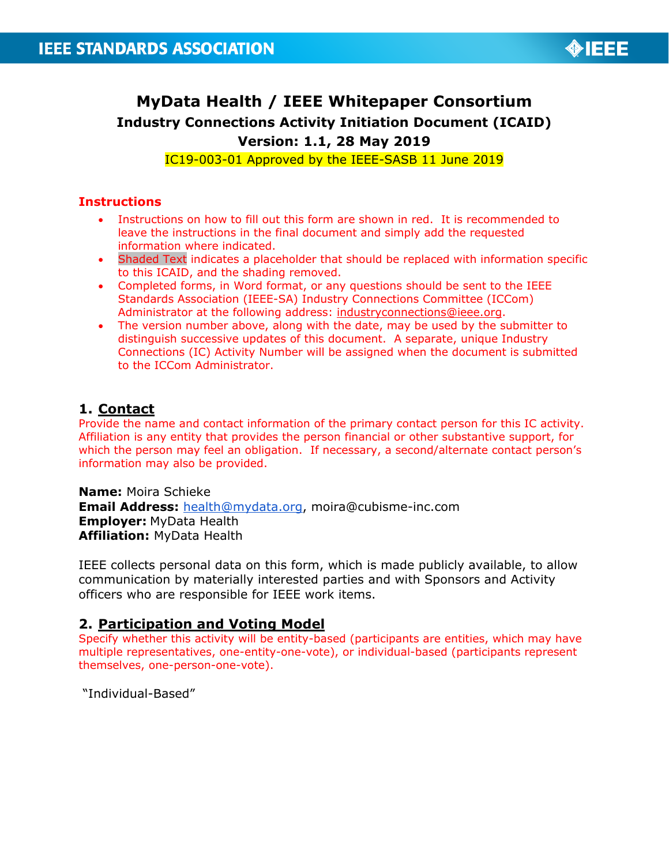

# **MyData Health / IEEE Whitepaper Consortium Industry Connections Activity Initiation Document (ICAID) Version: 1.1, 28 May 2019**

IC19-003-01 Approved by the IEEE-SASB 11 June 2019

#### **Instructions**

- Instructions on how to fill out this form are shown in red. It is recommended to leave the instructions in the final document and simply add the requested information where indicated.
- Shaded Text indicates a placeholder that should be replaced with information specific to this ICAID, and the shading removed.
- Completed forms, in Word format, or any questions should be sent to the IEEE Standards Association (IEEE-SA) Industry Connections Committee (ICCom) Administrator at the following address: [industryconnections@ieee.org.](mailto:industryconnections@ieee.org)
- The version number above, along with the date, may be used by the submitter to distinguish successive updates of this document. A separate, unique Industry Connections (IC) Activity Number will be assigned when the document is submitted to the ICCom Administrator.

## **1. Contact**

Provide the name and contact information of the primary contact person for this IC activity. Affiliation is any entity that provides the person financial or other substantive support, for which the person may feel an obligation. If necessary, a second/alternate contact person's information may also be provided.

**Name:** Moira Schieke **Email Address:** [health@mydata.org,](mailto:health@mydata.org) moira@cubisme-inc.com **Employer:** MyData Health **Affiliation:** MyData Health

IEEE collects personal data on this form, which is made publicly available, to allow communication by materially interested parties and with Sponsors and Activity officers who are responsible for IEEE work items.

#### **2. Participation and Voting Model**

Specify whether this activity will be entity-based (participants are entities, which may have multiple representatives, one-entity-one-vote), or individual-based (participants represent themselves, one-person-one-vote).

"Individual-Based"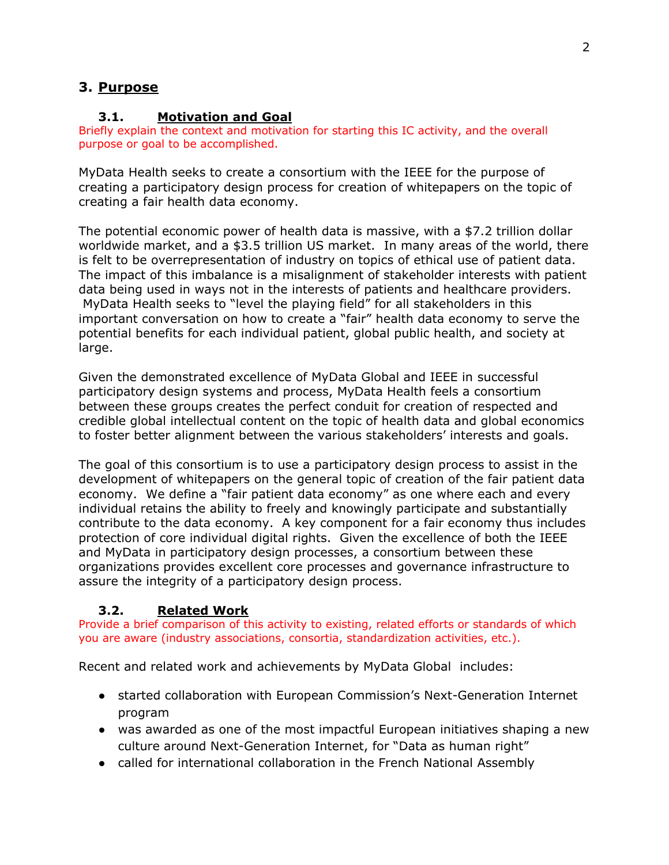## **3. Purpose**

#### **3.1. Motivation and Goal**

Briefly explain the context and motivation for starting this IC activity, and the overall purpose or goal to be accomplished.

MyData Health seeks to create a consortium with the IEEE for the purpose of creating a participatory design process for creation of whitepapers on the topic of creating a fair health data economy.

The potential economic power of health data is massive, with a \$7.2 trillion dollar worldwide market, and a \$3.5 trillion US market. In many areas of the world, there is felt to be overrepresentation of industry on topics of ethical use of patient data. The impact of this imbalance is a misalignment of stakeholder interests with patient data being used in ways not in the interests of patients and healthcare providers. MyData Health seeks to "level the playing field" for all stakeholders in this important conversation on how to create a "fair" health data economy to serve the potential benefits for each individual patient, global public health, and society at large.

Given the demonstrated excellence of MyData Global and IEEE in successful participatory design systems and process, MyData Health feels a consortium between these groups creates the perfect conduit for creation of respected and credible global intellectual content on the topic of health data and global economics to foster better alignment between the various stakeholders' interests and goals.

The goal of this consortium is to use a participatory design process to assist in the development of whitepapers on the general topic of creation of the fair patient data economy. We define a "fair patient data economy" as one where each and every individual retains the ability to freely and knowingly participate and substantially contribute to the data economy. A key component for a fair economy thus includes protection of core individual digital rights. Given the excellence of both the IEEE and MyData in participatory design processes, a consortium between these organizations provides excellent core processes and governance infrastructure to assure the integrity of a participatory design process.

#### **3.2. Related Work**

Provide a brief comparison of this activity to existing, related efforts or standards of which you are aware (industry associations, consortia, standardization activities, etc.).

Recent and related work and achievements by MyData Global includes:

- started collaboration with European Commission's Next-Generation Internet program
- was awarded as one of the most impactful European initiatives shaping a new culture around Next-Generation Internet, for "Data as human right"
- called for international collaboration in the French National Assembly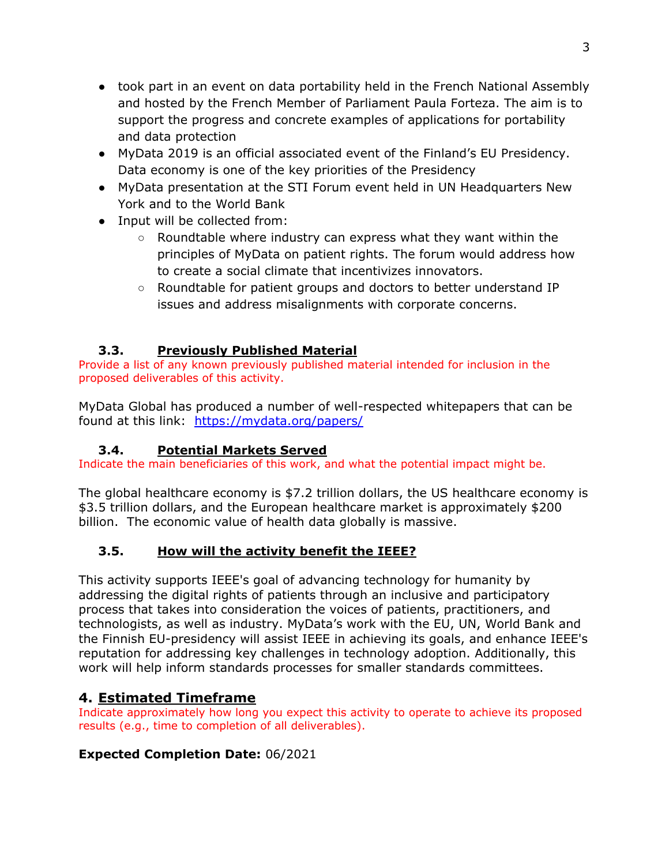- took part in an event on data portability held in the French National Assembly and hosted by the French Member of Parliament Paula Forteza. The aim is to support the progress and concrete examples of applications for portability and data protection
- MyData 2019 is an official associated event of the Finland's EU Presidency. Data economy is one of the key priorities of the Presidency
- MyData presentation at the STI Forum event held in UN Headquarters New York and to the World Bank
- Input will be collected from:
	- Roundtable where industry can express what they want within the principles of MyData on patient rights. The forum would address how to create a social climate that incentivizes innovators.
	- Roundtable for patient groups and doctors to better understand IP issues and address misalignments with corporate concerns.

## **3.3. Previously Published Material**

Provide a list of any known previously published material intended for inclusion in the proposed deliverables of this activity.

MyData Global has produced a number of well-respected whitepapers that can be found at this link: <https://mydata.org/papers/>

## **3.4. Potential Markets Served**

Indicate the main beneficiaries of this work, and what the potential impact might be.

The global healthcare economy is \$7.2 trillion dollars, the US healthcare economy is \$3.5 trillion dollars, and the European healthcare market is approximately \$200 billion. The economic value of health data globally is massive.

## **3.5. How will the activity benefit the IEEE?**

This activity supports IEEE's goal of advancing technology for humanity by addressing the digital rights of patients through an inclusive and participatory process that takes into consideration the voices of patients, practitioners, and technologists, as well as industry. MyData's work with the EU, UN, World Bank and the Finnish EU-presidency will assist IEEE in achieving its goals, and enhance IEEE's reputation for addressing key challenges in technology adoption. Additionally, this work will help inform standards processes for smaller standards committees.

# **4. Estimated Timeframe**

Indicate approximately how long you expect this activity to operate to achieve its proposed results (e.g., time to completion of all deliverables).

# **Expected Completion Date:** 06/2021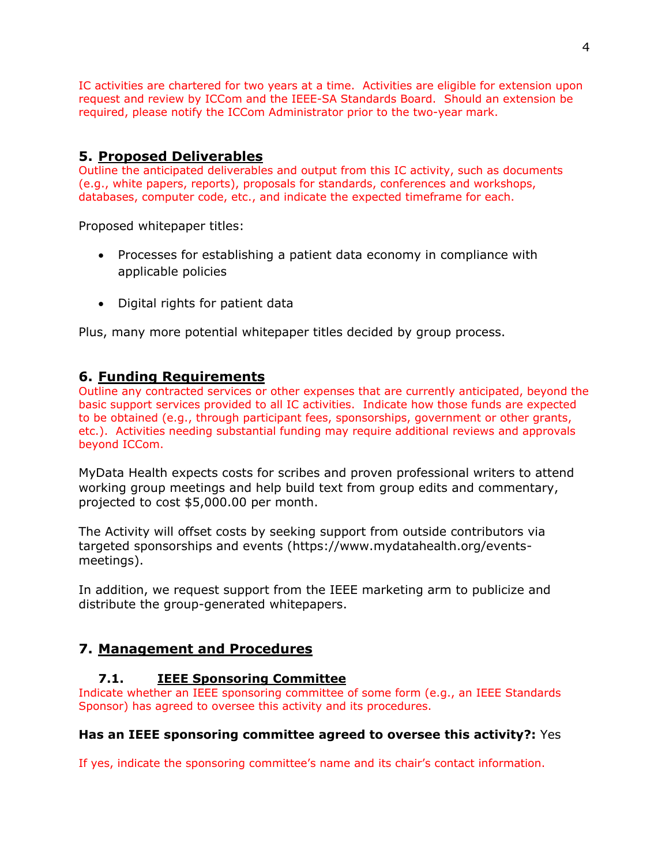IC activities are chartered for two years at a time. Activities are eligible for extension upon request and review by ICCom and the IEEE-SA Standards Board. Should an extension be required, please notify the ICCom Administrator prior to the two-year mark.

## **5. Proposed Deliverables**

Outline the anticipated deliverables and output from this IC activity, such as documents (e.g., white papers, reports), proposals for standards, conferences and workshops, databases, computer code, etc., and indicate the expected timeframe for each.

Proposed whitepaper titles:

- Processes for establishing a patient data economy in compliance with applicable policies
- Digital rights for patient data

Plus, many more potential whitepaper titles decided by group process.

#### **6. Funding Requirements**

Outline any contracted services or other expenses that are currently anticipated, beyond the basic support services provided to all IC activities. Indicate how those funds are expected to be obtained (e.g., through participant fees, sponsorships, government or other grants, etc.). Activities needing substantial funding may require additional reviews and approvals beyond ICCom.

MyData Health expects costs for scribes and proven professional writers to attend working group meetings and help build text from group edits and commentary, projected to cost \$5,000.00 per month.

The Activity will offset costs by seeking support from outside contributors via targeted sponsorships and events (https://www.mydatahealth.org/eventsmeetings).

In addition, we request support from the IEEE marketing arm to publicize and distribute the group-generated whitepapers.

#### **7. Management and Procedures**

#### **7.1. IEEE Sponsoring Committee**

Indicate whether an IEEE sponsoring committee of some form (e.g., an IEEE Standards Sponsor) has agreed to oversee this activity and its procedures.

#### **Has an IEEE sponsoring committee agreed to oversee this activity?:** Yes

If yes, indicate the sponsoring committee's name and its chair's contact information.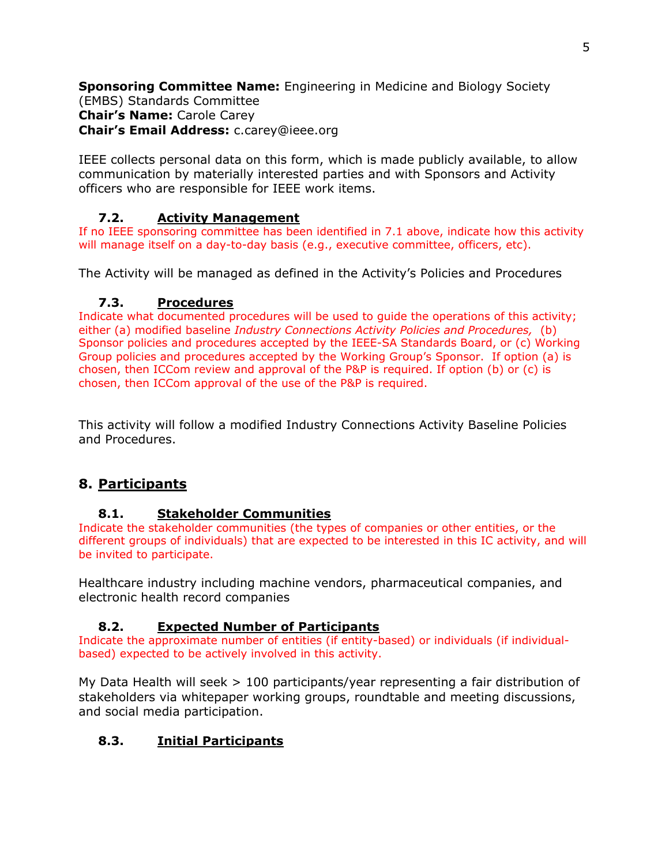**Sponsoring Committee Name:** Engineering in Medicine and Biology Society (EMBS) Standards Committee **Chair's Name:** Carole Carey **Chair's Email Address:** c.carey@ieee.org

IEEE collects personal data on this form, which is made publicly available, to allow communication by materially interested parties and with Sponsors and Activity officers who are responsible for IEEE work items.

## **7.2. Activity Management**

If no IEEE sponsoring committee has been identified in 7.1 above, indicate how this activity will manage itself on a day-to-day basis (e.g., executive committee, officers, etc).

The Activity will be managed as defined in the Activity's Policies and Procedures

## **7.3. Procedures**

Indicate what documented procedures will be used to guide the operations of this activity; either (a) modified baseline *Industry Connections Activity Policies and Procedures,* (b) Sponsor policies and procedures accepted by the IEEE-SA Standards Board, or (c) Working Group policies and procedures accepted by the Working Group's Sponsor. If option (a) is chosen, then ICCom review and approval of the P&P is required. If option (b) or (c) is chosen, then ICCom approval of the use of the P&P is required.

This activity will follow a modified Industry Connections Activity Baseline Policies and Procedures.

# **8. Participants**

#### **8.1. Stakeholder Communities**

Indicate the stakeholder communities (the types of companies or other entities, or the different groups of individuals) that are expected to be interested in this IC activity, and will be invited to participate.

Healthcare industry including machine vendors, pharmaceutical companies, and electronic health record companies

## **8.2. Expected Number of Participants**

Indicate the approximate number of entities (if entity-based) or individuals (if individualbased) expected to be actively involved in this activity.

My Data Health will seek > 100 participants/year representing a fair distribution of stakeholders via whitepaper working groups, roundtable and meeting discussions, and social media participation.

## **8.3. Initial Participants**